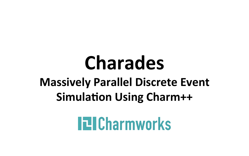# **Charades**

#### **Massively Parallel Discrete Event Simulation Using Charm++**

### **IZICharmworks**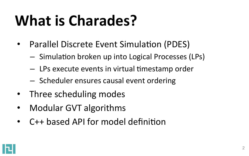## **What is Charades?**

- Parallel Discrete Event Simulation (PDES)
	- $-$  Simulation broken up into Logical Processes (LPs)
	- $-$  LPs execute events in virtual timestamp order
	- $-$  Scheduler ensures causal event ordering
- Three scheduling modes
- Modular GVT algorithms
- C++ based API for model definition

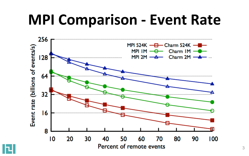#### **MPI Comparison - Event Rate**

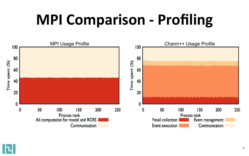### **MPI Comparison - Profiling**

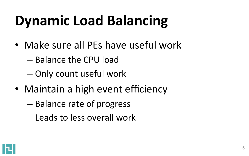### **Dynamic Load Balancing**

- Make sure all PEs have useful work
	- Balance the CPU load
	- $-$  Only count useful work
- Maintain a high event efficiency
	- Balance rate of progress
	- $-$  Leads to less overall work

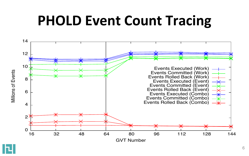#### **PHOLD Event Count Tracing**



**Millions of Events**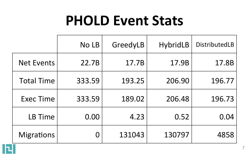#### **PHOLD Event Stats**

|  |                   | No LB  | GreedyLB | <b>HybridLB</b> | <b>DistributedLB</b> |
|--|-------------------|--------|----------|-----------------|----------------------|
|  | <b>Net Events</b> | 22.7B  | 17.7B    | 17.9B           | 17.8B                |
|  | <b>Total Time</b> | 333.59 | 193.25   | 206.90          | 196.77               |
|  | <b>Exec Time</b>  | 333.59 | 189.02   | 206.48          | 196.73               |
|  | LB Time           | 0.00   | 4.23     | 0.52            | 0.04                 |
|  | <b>Migrations</b> |        | 131043   | 130797          | 4858                 |

IЦ